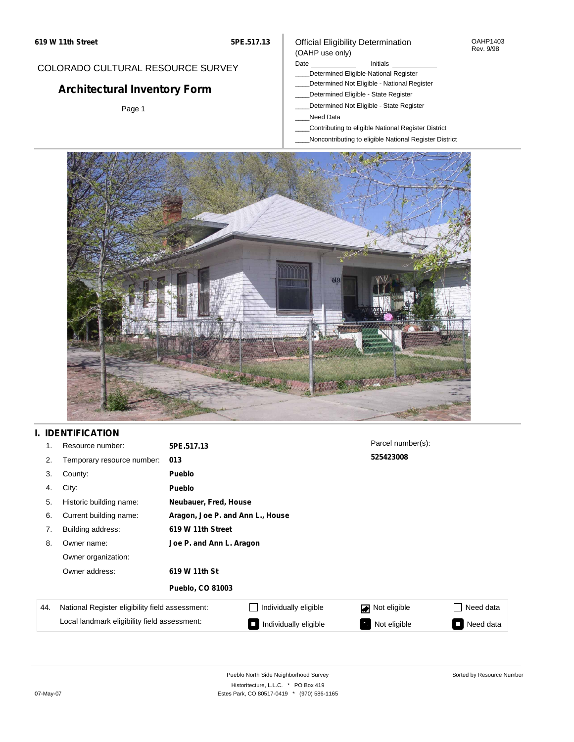#### OAHP1403 Rev. 9/98

## COLORADO CULTURAL RESOURCE SURVEY

# **Architectural Inventory Form**

Page 1

# (OAHP use only)

Official Eligibility Determination

Date **Initials** Initials

- \_\_\_\_Determined Eligible-National Register \_\_\_\_Determined Not Eligible - National Register
- \_\_\_\_Determined Eligible State Register
- \_\_\_\_Determined Not Eligible State Register
- \_\_\_\_Need Data
- \_\_\_\_Contributing to eligible National Register District
- \_\_\_\_Noncontributing to eligible National Register District



## **I. IDENTIFICATION**

| 1.  | Resource number:                                | 5PE.517.13                       |                       | Parcel number(s): |           |  |  |  |
|-----|-------------------------------------------------|----------------------------------|-----------------------|-------------------|-----------|--|--|--|
| 2.  | Temporary resource number:                      | 013                              |                       | 525423008         |           |  |  |  |
| 3.  | County:                                         | Pueblo                           |                       |                   |           |  |  |  |
| 4.  | City:                                           | <b>Pueblo</b>                    |                       |                   |           |  |  |  |
| 5.  | Historic building name:                         |                                  | Neubauer, Fred, House |                   |           |  |  |  |
| 6.  | Current building name:                          | Aragon, Joe P. and Ann L., House |                       |                   |           |  |  |  |
| 7.  | Building address:                               | 619 W 11th Street                |                       |                   |           |  |  |  |
| 8.  | Owner name:                                     | Joe P. and Ann L. Aragon         |                       |                   |           |  |  |  |
|     | Owner organization:                             |                                  |                       |                   |           |  |  |  |
|     | Owner address:                                  | 619 W 11th St                    |                       |                   |           |  |  |  |
|     |                                                 | <b>Pueblo, CO 81003</b>          |                       |                   |           |  |  |  |
| 44. | National Register eligibility field assessment: |                                  | Individually eligible | Not eligible      | Need data |  |  |  |
|     | Local landmark eligibility field assessment:    |                                  | Individually eligible | Not eligible<br>ъ | Need data |  |  |  |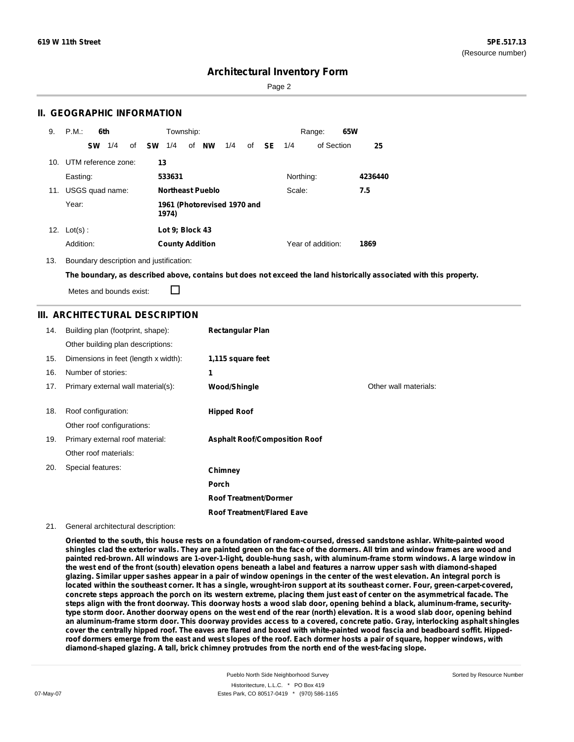Sorted by Resource Number

## **Architectural Inventory Form**

Page 2

### **II. GEOGRAPHIC INFORMATION**

| 9.  | P.M.       |           | 6th                 |    |    | Township:              |                         |                             |    |           |           | Range:            | 65W |         |
|-----|------------|-----------|---------------------|----|----|------------------------|-------------------------|-----------------------------|----|-----------|-----------|-------------------|-----|---------|
|     |            | <b>SW</b> | 1/4                 | of | sw | 1/4                    | of <b>NW</b>            | 1/4                         | of | <b>SE</b> | 1/4       | of Section        |     | 25      |
| 10. |            |           | UTM reference zone: |    | 13 |                        |                         |                             |    |           |           |                   |     |         |
|     | Easting:   |           |                     |    |    | 533631                 |                         |                             |    |           | Northing: |                   |     | 4236440 |
| 11. |            |           | USGS quad name:     |    |    |                        | <b>Northeast Pueblo</b> |                             |    |           | Scale:    |                   |     | 7.5     |
|     | Year:      |           |                     |    |    | 1974)                  |                         | 1961 (Photorevised 1970 and |    |           |           |                   |     |         |
| 12. | $Lot(s)$ : |           |                     |    |    | Lot 9; Block 43        |                         |                             |    |           |           |                   |     |         |
|     | Addition:  |           |                     |    |    | <b>County Addition</b> |                         |                             |    |           |           | Year of addition: |     | 1869    |

#### 13. Boundary description and justification:

The boundary, as described above, contains but does not exceed the land historically associated with this property.

П Metes and bounds exist:

### **III. ARCHITECTURAL DESCRIPTION**

| 14. | Building plan (footprint, shape):    | <b>Rectangular Plan</b>              |                       |
|-----|--------------------------------------|--------------------------------------|-----------------------|
|     | Other building plan descriptions:    |                                      |                       |
| 15. | Dimensions in feet (length x width): | 1,115 square feet                    |                       |
| 16. | Number of stories:                   | 1                                    |                       |
| 17. | Primary external wall material(s):   | Wood/Shingle                         | Other wall materials: |
|     |                                      |                                      |                       |
| 18. | Roof configuration:                  | <b>Hipped Roof</b>                   |                       |
|     | Other roof configurations:           |                                      |                       |
| 19. | Primary external roof material:      | <b>Asphalt Roof/Composition Roof</b> |                       |
|     | Other roof materials:                |                                      |                       |
| 20. | Special features:                    | Chimney                              |                       |
|     |                                      | Porch                                |                       |
|     |                                      | <b>Roof Treatment/Dormer</b>         |                       |
|     |                                      | <b>Roof Treatment/Flared Eave</b>    |                       |

#### 21. General architectural description:

Oriented to the south, this house rests on a foundation of random-coursed, dressed sandstone ashlar. White-painted wood shingles clad the exterior walls. They are painted green on the face of the dormers. All trim and window frames are wood and painted red-brown. All windows are 1-over-1-light, double-hung sash, with aluminum-frame storm windows. A large window in the west end of the front (south) elevation opens beneath a label and features a narrow upper sash with diamond-shaped glazing. Similar upper sashes appear in a pair of window openings in the center of the west elevation. An integral porch is located within the southeast corner. It has a single, wrought-iron support at its southeast corner. Four, green-carpet-covered, concrete steps approach the porch on its western extreme, placing them just east of center on the asymmetrical facade. The steps align with the front doorway. This doorway hosts a wood slab door, opening behind a black, aluminum-frame, securitytype storm door. Another doorway opens on the west end of the rear (north) elevation. It is a wood slab door, opening behind an aluminum-frame storm door. This doorway provides access to a covered, concrete patio. Gray, interlocking asphalt shingles cover the centrally hipped roof. The eaves are flared and boxed with white-painted wood fascia and beadboard soffit. Hippedroof dormers emerge from the east and west slopes of the roof. Each dormer hosts a pair of square, hopper windows, with **diamond-shaped glazing. A tall, brick chimney protrudes from the north end of the west-facing slope.**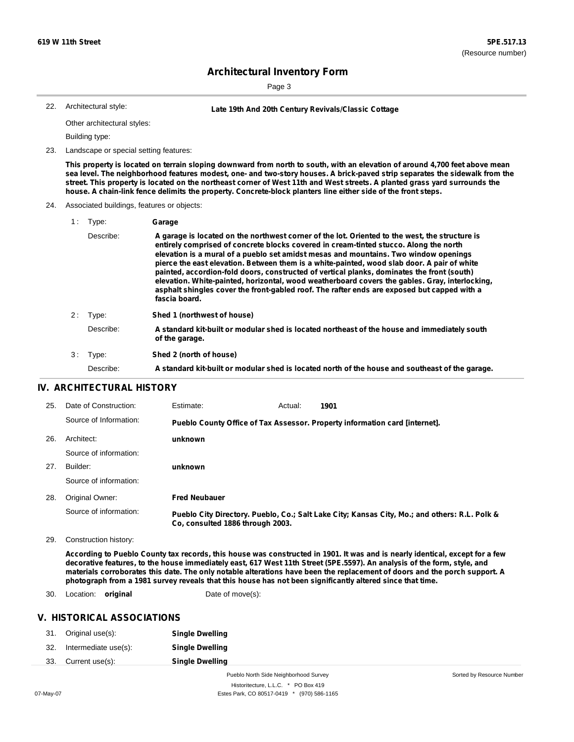Page 3

Architectural style:

22. **Late 19th And 20th Century Revivals/Classic Cottage**

Other architectural styles:

Building type:

23. Landscape or special setting features:

This property is located on terrain sloping downward from north to south, with an elevation of around 4,700 feet above mean sea level. The neighborhood features modest, one- and two-story houses. A brick-paved strip separates the sidewalk from the street. This property is located on the northeast corner of West 11th and West streets. A planted grass yard surrounds the **house. A chain-link fence delimits the property. Concrete-block planters line either side of the front steps.**

#### 24. Associated buildings, features or objects:

| 1 : | Type:     | Garage                                                                                                                                                                                                                                                                                                                                                                                                                                                                                                                                                                                                                                                                                         |
|-----|-----------|------------------------------------------------------------------------------------------------------------------------------------------------------------------------------------------------------------------------------------------------------------------------------------------------------------------------------------------------------------------------------------------------------------------------------------------------------------------------------------------------------------------------------------------------------------------------------------------------------------------------------------------------------------------------------------------------|
|     | Describe: | A garage is located on the northwest corner of the lot. Oriented to the west, the structure is<br>entirely comprised of concrete blocks covered in cream-tinted stucco. Along the north<br>elevation is a mural of a pueblo set amidst mesas and mountains. Two window openings<br>pierce the east elevation. Between them is a white-painted, wood slab door. A pair of white<br>painted, accordion-fold doors, constructed of vertical planks, dominates the front (south)<br>elevation. White-painted, horizontal, wood weatherboard covers the gables. Gray, interlocking,<br>asphalt shingles cover the front-gabled roof. The rafter ends are exposed but capped with a<br>fascia board. |
| 2:  | Type:     | Shed 1 (northwest of house)                                                                                                                                                                                                                                                                                                                                                                                                                                                                                                                                                                                                                                                                    |
|     | Describe: | A standard kit-built or modular shed is located northeast of the house and immediately south<br>of the garage.                                                                                                                                                                                                                                                                                                                                                                                                                                                                                                                                                                                 |
| 3:  | Type:     | Shed 2 (north of house)                                                                                                                                                                                                                                                                                                                                                                                                                                                                                                                                                                                                                                                                        |
|     | Describe: | A standard kit-built or modular shed is located north of the house and southeast of the garage.                                                                                                                                                                                                                                                                                                                                                                                                                                                                                                                                                                                                |

### **IV. ARCHITECTURAL HISTORY**

| 25. | Date of Construction:  | Estimate:                        | Actual: | 1901                                                                                          |
|-----|------------------------|----------------------------------|---------|-----------------------------------------------------------------------------------------------|
|     | Source of Information: |                                  |         | Pueblo County Office of Tax Assessor. Property information card [internet].                   |
| 26. | Architect:             | unknown                          |         |                                                                                               |
|     | Source of information: |                                  |         |                                                                                               |
| 27. | Builder:               | unknown                          |         |                                                                                               |
|     | Source of information: |                                  |         |                                                                                               |
| 28. | Original Owner:        | <b>Fred Neubauer</b>             |         |                                                                                               |
|     | Source of information: | Co. consulted 1886 through 2003. |         | Pueblo City Directory. Pueblo, Co.; Salt Lake City; Kansas City, Mo.; and others: R.L. Polk & |

29. Construction history:

According to Pueblo County tax records, this house was constructed in 1901. It was and is nearly identical, except for a few decorative features, to the house immediately east, 617 West 11th Street (5PE.5597). An analysis of the form, style, and materials corroborates this date. The only notable alterations have been the replacement of doors and the porch support. A **photograph from a 1981 survey reveals that this house has not been significantly altered since that time.**

30. Location: **original** Date of move(s):

### **V. HISTORICAL ASSOCIATIONS**

| 31. | Original use(s):     | <b>Single Dwelling</b>                |                           |
|-----|----------------------|---------------------------------------|---------------------------|
| 32. | Intermediate use(s): | <b>Single Dwelling</b>                |                           |
| 33. | Current use(s):      | <b>Single Dwelling</b>                |                           |
|     |                      | Pueblo North Side Neighborhood Survey | Sorted by Resource Number |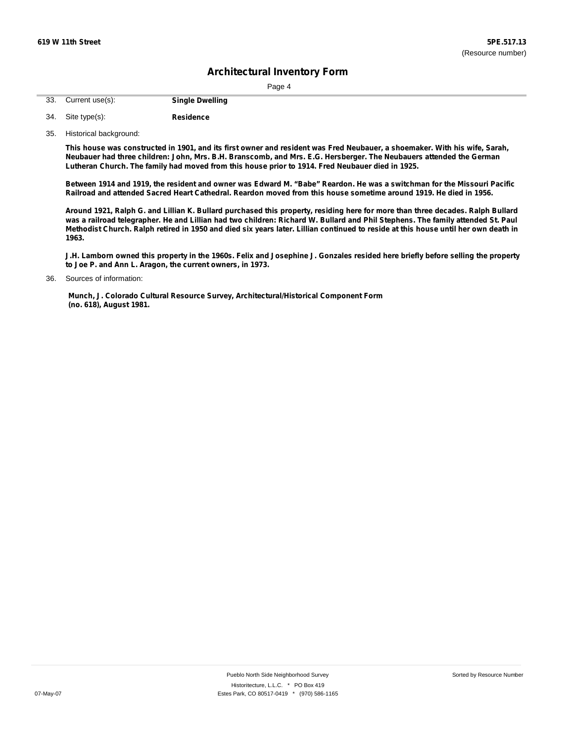Page 4

| 33. Current use(s): | <b>Single Dwelling</b> |
|---------------------|------------------------|
|                     |                        |

| 34. Site type(s): | <b>Residence</b> |
|-------------------|------------------|
|                   |                  |

35. Historical background:

This house was constructed in 1901, and its first owner and resident was Fred Neubauer, a shoemaker. With his wife, Sarah, Neubauer had three children: John, Mrs. B.H. Branscomb, and Mrs. E.G. Hersberger. The Neubauers attended the German **Lutheran Church. The family had moved from this house prior to 1914. Fred Neubauer died in 1925.**

Between 1914 and 1919, the resident and owner was Edward M. "Babe" Reardon. He was a switchman for the Missouri Pacific Railroad and attended Sacred Heart Cathedral. Reardon moved from this house sometime around 1919. He died in 1956.

Around 1921, Ralph G. and Lillian K. Bullard purchased this property, residing here for more than three decades. Ralph Bullard was a railroad telegrapher. He and Lillian had two children: Richard W. Bullard and Phil Stephens. The family attended St. Paul Methodist Church. Ralph retired in 1950 and died six years later. Lillian continued to reside at this house until her own death in **1963.**

J.H. Lamborn owned this property in the 1960s. Felix and Josephine J. Gonzales resided here briefly before selling the property **to Joe P. and Ann L. Aragon, the current owners, in 1973.**

**Munch, J. Colorado Cultural Resource Survey, Architectural/Historical Component Form (no. 618), August 1981.**

Sources of information: 36.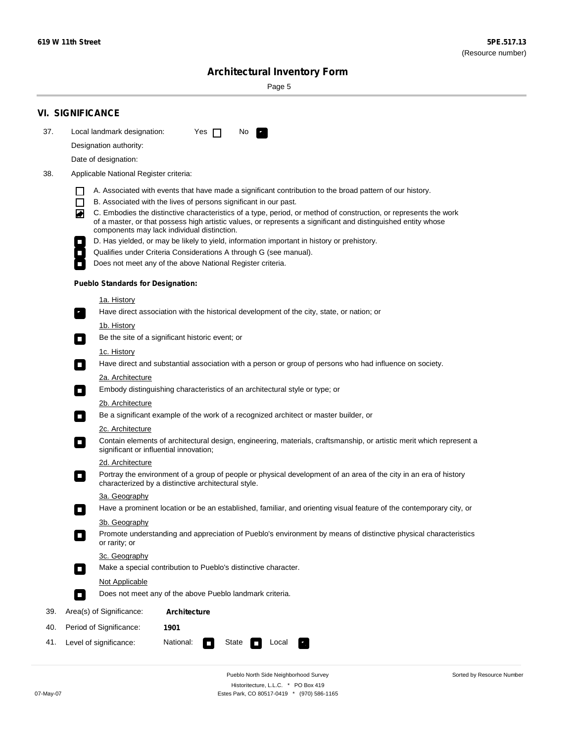Sorted by Resource Number

# **Architectural Inventory Form**

Page 5

|     | <b>VI. SIGNIFICANCE</b>                                                                                                                                                                                                                                                               |
|-----|---------------------------------------------------------------------------------------------------------------------------------------------------------------------------------------------------------------------------------------------------------------------------------------|
| 37. | Local landmark designation:<br>Yes $\Box$<br>No<br>i Ka                                                                                                                                                                                                                               |
|     | Designation authority:                                                                                                                                                                                                                                                                |
|     | Date of designation:                                                                                                                                                                                                                                                                  |
| 38. | Applicable National Register criteria:                                                                                                                                                                                                                                                |
|     | A. Associated with events that have made a significant contribution to the broad pattern of our history.                                                                                                                                                                              |
|     | B. Associated with the lives of persons significant in our past.<br>ΙI                                                                                                                                                                                                                |
|     | C. Embodies the distinctive characteristics of a type, period, or method of construction, or represents the work<br>◙<br>of a master, or that possess high artistic values, or represents a significant and distinguished entity whose<br>components may lack individual distinction. |
|     | D. Has yielded, or may be likely to yield, information important in history or prehistory.                                                                                                                                                                                            |
|     | Qualifies under Criteria Considerations A through G (see manual).                                                                                                                                                                                                                     |
|     | Does not meet any of the above National Register criteria.                                                                                                                                                                                                                            |
|     | <b>Pueblo Standards for Designation:</b>                                                                                                                                                                                                                                              |
|     | <u>1a. History</u>                                                                                                                                                                                                                                                                    |
|     | Have direct association with the historical development of the city, state, or nation; or<br>$\mathbf{r}_\perp$                                                                                                                                                                       |
|     | <u>1b. History</u>                                                                                                                                                                                                                                                                    |
|     | Be the site of a significant historic event; or                                                                                                                                                                                                                                       |
|     | 1c. History<br>Have direct and substantial association with a person or group of persons who had influence on society.<br>$\Box$                                                                                                                                                      |
|     | 2a. Architecture                                                                                                                                                                                                                                                                      |
|     | Embody distinguishing characteristics of an architectural style or type; or<br>$\Box$                                                                                                                                                                                                 |
|     | 2b. Architecture                                                                                                                                                                                                                                                                      |
|     | Be a significant example of the work of a recognized architect or master builder, or<br>$\overline{\phantom{a}}$                                                                                                                                                                      |
|     | 2c. Architecture                                                                                                                                                                                                                                                                      |
|     | Contain elements of architectural design, engineering, materials, craftsmanship, or artistic merit which represent a<br>О<br>significant or influential innovation;                                                                                                                   |
|     | 2d. Architecture                                                                                                                                                                                                                                                                      |
|     | Portray the environment of a group of people or physical development of an area of the city in an era of history<br>$\Box$<br>characterized by a distinctive architectural style.                                                                                                     |
|     | 3a. Geography                                                                                                                                                                                                                                                                         |
|     | Have a prominent location or be an established, familiar, and orienting visual feature of the contemporary city, or                                                                                                                                                                   |
|     | 3b. Geography                                                                                                                                                                                                                                                                         |
|     | Promote understanding and appreciation of Pueblo's environment by means of distinctive physical characteristics<br>$\overline{\phantom{a}}$<br>or rarity; or                                                                                                                          |
|     | 3c. Geography                                                                                                                                                                                                                                                                         |
|     | Make a special contribution to Pueblo's distinctive character.<br>$\mathcal{L}_{\mathcal{A}}$                                                                                                                                                                                         |
|     | Not Applicable                                                                                                                                                                                                                                                                        |
|     | Does not meet any of the above Pueblo landmark criteria.<br>$\overline{\phantom{a}}$                                                                                                                                                                                                  |
| 39. | Area(s) of Significance:<br>Architecture                                                                                                                                                                                                                                              |
| 40. | Period of Significance:<br>1901                                                                                                                                                                                                                                                       |
| 41. | National:<br>Level of significance:<br>State<br>Local<br>$\overline{\phantom{a}}$                                                                                                                                                                                                     |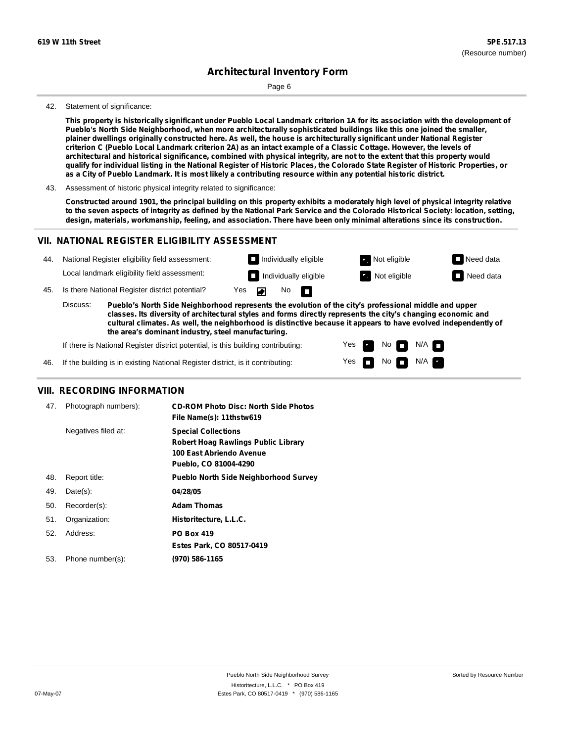Page 6

#### 42. Statement of significance:

This property is historically significant under Pueblo Local Landmark criterion 1A for its association with the development of **Pueblo's North Side Neighborhood, when more architecturally sophisticated buildings like this one joined the smaller,** plainer dwellings originally constructed here. As well, the house is architecturally significant under National Register criterion C (Pueblo Local Landmark criterion 2A) as an intact example of a Classic Cottage. However, the levels of architectural and historical significance, combined with physical integrity, are not to the extent that this property would qualify for individual listing in the National Register of Historic Places, the Colorado State Register of Historic Properties, or as a City of Pueblo Landmark. It is most likely a contributing resource within any potential historic district.

43. Assessment of historic physical integrity related to significance:

Constructed around 1901, the principal building on this property exhibits a moderately high level of physical integrity relative to the seven aspects of integrity as defined by the National Park Service and the Colorado Historical Society: location, setting, design, materials, workmanship, feeling, and association. There have been only minimal alterations since its construction.

Yes

 $No$   $N/A$ 

### **VII. NATIONAL REGISTER ELIGIBILITY ASSESSMENT**

| 44. |                                                                                                                                                                                                                                                                                                                                                                                                             | National Register eligibility field assessment:                                  |     |  | $\Box$ Individually eligible |   |     | Not eligible                 |                      | $\Box$ Need data |
|-----|-------------------------------------------------------------------------------------------------------------------------------------------------------------------------------------------------------------------------------------------------------------------------------------------------------------------------------------------------------------------------------------------------------------|----------------------------------------------------------------------------------|-----|--|------------------------------|---|-----|------------------------------|----------------------|------------------|
|     |                                                                                                                                                                                                                                                                                                                                                                                                             | Local landmark eligibility field assessment:                                     |     |  | Individually eligible        |   |     | Not eligible                 |                      | Need data        |
| 45. |                                                                                                                                                                                                                                                                                                                                                                                                             | Is there National Register district potential?                                   | Yes |  | No.                          | n |     |                              |                      |                  |
|     | Discuss:<br>Pueblo's North Side Neighborhood represents the evolution of the city's professional middle and upper<br>classes. Its diversity of architectural styles and forms directly represents the city's changing economic and<br>cultural climates. As well, the neighborhood is distinctive because it appears to have evolved independently of<br>the area's dominant industry, steel manufacturing. |                                                                                  |     |  |                              |   |     |                              |                      |                  |
|     |                                                                                                                                                                                                                                                                                                                                                                                                             | If there is National Register district potential, is this building contributing: |     |  |                              |   | Yes | $\mathsf{No}$ $\blacksquare$ | $N/A$ $\blacksquare$ |                  |

| 46. |  |  |  | If the building is in existing National Register district, is it contributing: |
|-----|--|--|--|--------------------------------------------------------------------------------|
|-----|--|--|--|--------------------------------------------------------------------------------|

#### **VIII. RECORDING INFORMATION**

| 47. | Photograph numbers): | <b>CD-ROM Photo Disc: North Side Photos</b><br>File Name(s): 11thstw619                                                |
|-----|----------------------|------------------------------------------------------------------------------------------------------------------------|
|     | Negatives filed at:  | <b>Special Collections</b><br>Robert Hoag Rawlings Public Library<br>100 East Abriendo Avenue<br>Pueblo, CO 81004-4290 |
| 48. | Report title:        | <b>Pueblo North Side Neighborhood Survey</b>                                                                           |
| 49. | $Date(s)$ :          | 04/28/05                                                                                                               |
| 50. | Recorder(s):         | <b>Adam Thomas</b>                                                                                                     |
| 51. | Organization:        | Historitecture, L.L.C.                                                                                                 |
| 52. | Address:             | <b>PO Box 419</b>                                                                                                      |
|     |                      | Estes Park, CO 80517-0419                                                                                              |
| 53. | Phone number(s):     | (970) 586-1165                                                                                                         |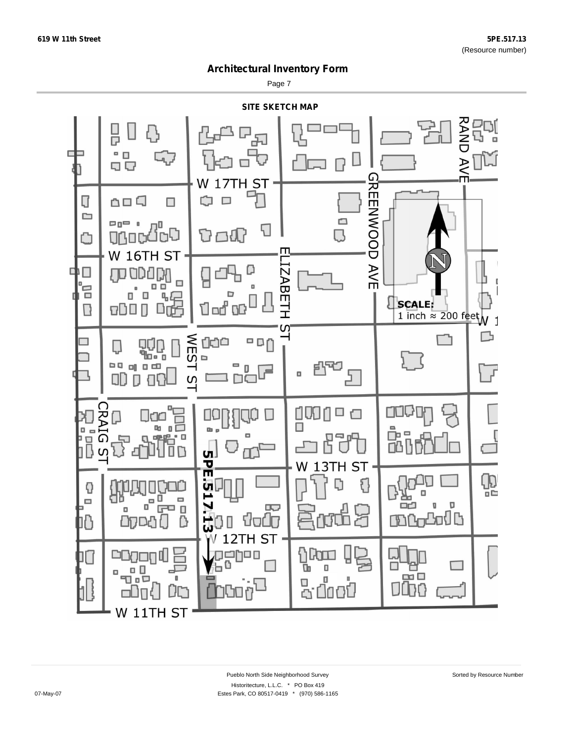Page 7